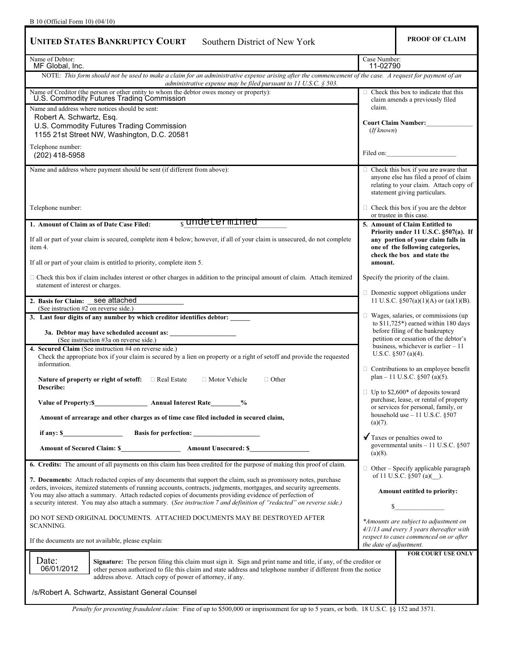| <b>UNITED STATES BANKRUPTCY COURT</b><br>Southern District of New York                                                                                                                                                                                                                                                                                                                                                                                                      |                                                                                                                                                                                                                                                                                                                               | <b>PROOF OF CLAIM</b>                                                                                                                                            |
|-----------------------------------------------------------------------------------------------------------------------------------------------------------------------------------------------------------------------------------------------------------------------------------------------------------------------------------------------------------------------------------------------------------------------------------------------------------------------------|-------------------------------------------------------------------------------------------------------------------------------------------------------------------------------------------------------------------------------------------------------------------------------------------------------------------------------|------------------------------------------------------------------------------------------------------------------------------------------------------------------|
| Name of Debtor:<br>MF Global, Inc.                                                                                                                                                                                                                                                                                                                                                                                                                                          | Case Number:<br>11-02790                                                                                                                                                                                                                                                                                                      |                                                                                                                                                                  |
| NOTE: This form should not be used to make a claim for an administrative expense arising after the commencement of the case. A request for payment of an<br>administrative expense may be filed pursuant to 11 U.S.C. $\S$ 503.                                                                                                                                                                                                                                             |                                                                                                                                                                                                                                                                                                                               |                                                                                                                                                                  |
| Name of Creditor (the person or other entity to whom the debtor owes money or property): U.S. Commodity Futures Trading Commission<br>Name and address where notices should be sent:                                                                                                                                                                                                                                                                                        | Check this box to indicate that this<br>claim amends a previously filed<br>claim.<br><b>Court Claim Number:</b><br>(If known)                                                                                                                                                                                                 |                                                                                                                                                                  |
| Robert A. Schwartz, Esq.<br>U.S. Commodity Futures Trading Commission<br>1155 21st Street NW, Washington, D.C. 20581                                                                                                                                                                                                                                                                                                                                                        |                                                                                                                                                                                                                                                                                                                               |                                                                                                                                                                  |
| Telephone number:<br>(202) 418-5958                                                                                                                                                                                                                                                                                                                                                                                                                                         | Filed on:                                                                                                                                                                                                                                                                                                                     |                                                                                                                                                                  |
| Name and address where payment should be sent (if different from above):                                                                                                                                                                                                                                                                                                                                                                                                    |                                                                                                                                                                                                                                                                                                                               | $\Box$ Check this box if you are aware that<br>anyone else has filed a proof of claim<br>relating to your claim. Attach copy of<br>statement giving particulars. |
| Telephone number:                                                                                                                                                                                                                                                                                                                                                                                                                                                           |                                                                                                                                                                                                                                                                                                                               | $\Box$ Check this box if you are the debtor<br>or trustee in this case.                                                                                          |
| sundetermined<br>1. Amount of Claim as of Date Case Filed:<br>If all or part of your claim is secured, complete item 4 below; however, if all of your claim is unsecured, do not complete<br>item 4.                                                                                                                                                                                                                                                                        | 5. Amount of Claim Entitled to<br>Priority under 11 U.S.C. §507(a). If<br>any portion of your claim falls in<br>one of the following categories,<br>check the box and state the<br>amount.<br>Specify the priority of the claim.<br>$\Box$ Domestic support obligations under<br>11 U.S.C. $\S 507(a)(1)(A)$ or $(a)(1)(B)$ . |                                                                                                                                                                  |
| If all or part of your claim is entitled to priority, complete item 5.                                                                                                                                                                                                                                                                                                                                                                                                      |                                                                                                                                                                                                                                                                                                                               |                                                                                                                                                                  |
| $\Box$ Check this box if claim includes interest or other charges in addition to the principal amount of claim. Attach itemized<br>statement of interest or charges.                                                                                                                                                                                                                                                                                                        |                                                                                                                                                                                                                                                                                                                               |                                                                                                                                                                  |
| 2. Basis for Claim: see attached                                                                                                                                                                                                                                                                                                                                                                                                                                            |                                                                                                                                                                                                                                                                                                                               |                                                                                                                                                                  |
| (See instruction #2 on reverse side.)<br>3. Last four digits of any number by which creditor identifies debtor:                                                                                                                                                                                                                                                                                                                                                             |                                                                                                                                                                                                                                                                                                                               | $\Box$ Wages, salaries, or commissions (up<br>to $$11,725^*$ ) earned within 180 days                                                                            |
| 3a. Debtor may have scheduled account as:<br>(See instruction #3a on reverse side.)                                                                                                                                                                                                                                                                                                                                                                                         | before filing of the bankruptcy<br>petition or cessation of the debtor's<br>business, whichever is earlier $-11$                                                                                                                                                                                                              |                                                                                                                                                                  |
| 4. Secured Claim (See instruction #4 on reverse side.)<br>Check the appropriate box if your claim is secured by a lien on property or a right of setoff and provide the requested<br>information.                                                                                                                                                                                                                                                                           |                                                                                                                                                                                                                                                                                                                               | U.S.C. $$507(a)(4)$ .<br>$\Box$ Contributions to an employee benefit                                                                                             |
| Nature of property or right of setoff: □ Real Estate<br>□ Motor Vehicle<br>$\Box$ Other<br>Describe:                                                                                                                                                                                                                                                                                                                                                                        |                                                                                                                                                                                                                                                                                                                               | plan - 11 U.S.C. $\S 507$ (a)(5).<br>$\Box$ Up to \$2,600* of deposits toward                                                                                    |
| <b>Value of Property: \$</b><br><b>Annual Interest Rate</b>                                                                                                                                                                                                                                                                                                                                                                                                                 | purchase, lease, or rental of property<br>or services for personal, family, or<br>household use $-11$ U.S.C. §507<br>$(a)(7)$ .<br>$\sqrt{\frac{1}{2}}$ Taxes or penalties owed to<br>governmental units $-11$ U.S.C. §507<br>$(a)(8)$ .                                                                                      |                                                                                                                                                                  |
| Amount of arrearage and other charges as of time case filed included in secured claim,                                                                                                                                                                                                                                                                                                                                                                                      |                                                                                                                                                                                                                                                                                                                               |                                                                                                                                                                  |
|                                                                                                                                                                                                                                                                                                                                                                                                                                                                             |                                                                                                                                                                                                                                                                                                                               |                                                                                                                                                                  |
| 6. Credits: The amount of all payments on this claim has been credited for the purpose of making this proof of claim.                                                                                                                                                                                                                                                                                                                                                       |                                                                                                                                                                                                                                                                                                                               | $\Box$ Other – Specify applicable paragraph                                                                                                                      |
| 7. Documents: Attach redacted copies of any documents that support the claim, such as promissory notes, purchase<br>orders, invoices, itemized statements of running accounts, contracts, judgments, mortgages, and security agreements.<br>You may also attach a summary. Attach redacted copies of documents providing evidence of perfection of<br>a security interest. You may also attach a summary. (See instruction 7 and definition of "redacted" on reverse side.) | of 11 U.S.C. $$507(a)$ .<br>Amount entitled to priority:<br>\$                                                                                                                                                                                                                                                                |                                                                                                                                                                  |
| DO NOT SEND ORIGINAL DOCUMENTS. ATTACHED DOCUMENTS MAY BE DESTROYED AFTER<br>SCANNING.                                                                                                                                                                                                                                                                                                                                                                                      | *Amounts are subject to adjustment on<br>4/1/13 and every 3 years thereafter with<br>respect to cases commenced on or after<br>the date of adjustment.                                                                                                                                                                        |                                                                                                                                                                  |
| If the documents are not available, please explain:                                                                                                                                                                                                                                                                                                                                                                                                                         |                                                                                                                                                                                                                                                                                                                               |                                                                                                                                                                  |
| Date:<br>Signature: The person filing this claim must sign it. Sign and print name and title, if any, of the creditor or<br>06/01/2012<br>other person authorized to file this claim and state address and telephone number if different from the notice<br>address above. Attach copy of power of attorney, if any.                                                                                                                                                        |                                                                                                                                                                                                                                                                                                                               | <b>FOR COURT USE ONLY</b>                                                                                                                                        |
| /s/Robert A. Schwartz, Assistant General Counsel                                                                                                                                                                                                                                                                                                                                                                                                                            |                                                                                                                                                                                                                                                                                                                               |                                                                                                                                                                  |

*Penalty for presenting fraudulent claim:* Fine of up to \$500,000 or imprisonment for up to 5 years, or both. 18 U.S.C. §§ 152 and 3571.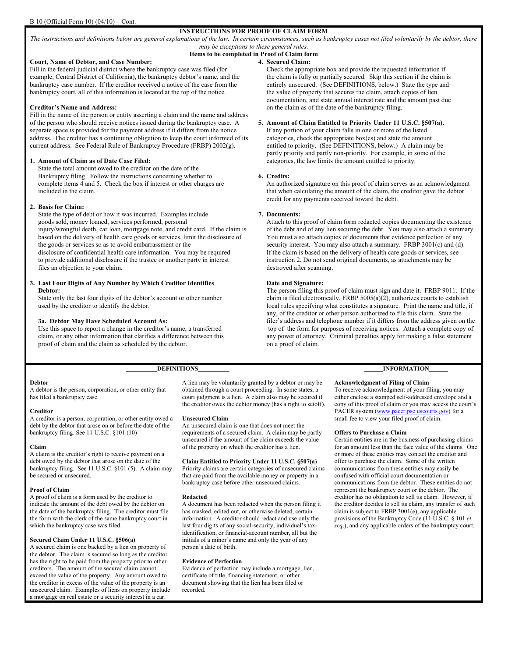## **INSTRUCTIONS FOR PROOF OF CLAIM FORM**

*The instructions and definitions below are general explanations of the law. In certain circumstances, such as bankruptcy cases not filed voluntarily by the debtor, there may be exceptions to these general rules.* 

## **Items to be completed in Proof of Claim form**

# **Court, Name of Debtor, and Case Number:**

Fill in the federal judicial district where the bankruptcy case was filed (for example, Central District of California), the bankruptcy debtor's name, and the bankruptcy case number. If the creditor received a notice of the case from the bankruptcy court, all of this information is located at the top of the notice.

## **Creditor's Name and Address:**

Fill in the name of the person or entity asserting a claim and the name and address of the person who should receive notices issued during the bankruptcy case. A separate space is provided for the payment address if it differs from the notice address. The creditor has a continuing obligation to keep the court informed of its current address. See Federal Rule of Bankruptcy Procedure (FRBP) 2002(g).

## **1. Amount of Claim as of Date Case Filed:**

 State the total amount owed to the creditor on the date of the Bankruptcy filing. Follow the instructions concerning whether to complete items 4 and 5. Check the box if interest or other charges are included in the claim.

### **2. Basis for Claim:**

 State the type of debt or how it was incurred. Examples include goods sold, money loaned, services performed, personal injury/wrongful death, car loan, mortgage note, and credit card. If the claim is based on the delivery of health care goods or services, limit the disclosure of the goods or services so as to avoid embarrassment or the disclosure of confidential health care information. You may be required to provide additional disclosure if the trustee or another party in interest files an objection to your claim.

### **3. Last Four Digits of Any Number by Which Creditor Identifies Debtor:**

State only the last four digits of the debtor's account or other number used by the creditor to identify the debtor.

### **3a. Debtor May Have Scheduled Account As:**

 Use this space to report a change in the creditor's name, a transferred claim, or any other information that clarifies a difference between this proof of claim and the claim as scheduled by the debtor.

**4. Secured Claim:** Check the appropriate box and provide the requested information if the claim is fully or partially secured. Skip this section if the claim is entirely unsecured. (See DEFINITIONS, below.) State the type and the value of property that secures the claim, attach copies of lien documentation, and state annual interest rate and the amount past due on the claim as of the date of the bankruptcy filing.

## **5. Amount of Claim Entitled to Priority Under 11 U.S.C. §507(a).**

If any portion of your claim falls in one or more of the listed categories, check the appropriate box(es) and state the amount entitled to priority. (See DEFINITIONS, below.) A claim may be partly priority and partly non-priority. For example, in some of the categories, the law limits the amount entitled to priority.

### **6. Credits:**

 An authorized signature on this proof of claim serves as an acknowledgment that when calculating the amount of the claim, the creditor gave the debtor credit for any payments received toward the debt.

### **7. Documents:**

 Attach to this proof of claim form redacted copies documenting the existence of the debt and of any lien securing the debt. You may also attach a summary. You must also attach copies of documents that evidence perfection of any security interest. You may also attach a summary. FRBP 3001(c) and (d). If the claim is based on the delivery of health care goods or services, see instruction 2. Do not send original documents, as attachments may be destroyed after scanning.

### **Date and Signature:**

 The person filing this proof of claim must sign and date it. FRBP 9011. If the claim is filed electronically, FRBP 5005(a)(2), authorizes courts to establish local rules specifying what constitutes a signature. Print the name and title, if any, of the creditor or other person authorized to file this claim. State the filer's address and telephone number if it differs from the address given on the top of the form for purposes of receiving notices. Attach a complete copy of any power of attorney. Criminal penalties apply for making a false statement on a proof of claim.

## **DEFINITIONS** INFORMATION

#### **Debtor**

A debtor is the person, corporation, or other entity that has filed a bankruptcy case.

#### **Creditor**

A creditor is a person, corporation, or other entity owed a debt by the debtor that arose on or before the date of the bankruptcy filing. See 11 U.S.C. §101 (10)

#### **Claim**

A claim is the creditor's right to receive payment on a debt owed by the debtor that arose on the date of the bankruptcy filing. See 11 U.S.C. §101 (5). A claim may be secured or unsecured.

### **Proof of Claim**

A proof of claim is a form used by the creditor to indicate the amount of the debt owed by the debtor on the date of the bankruptcy filing. The creditor must file the form with the clerk of the same bankruptcy court in which the bankruptcy case was filed.

#### **Secured Claim Under 11 U.S.C. §506(a)**

A secured claim is one backed by a lien on property of the debtor. The claim is secured so long as the creditor has the right to be paid from the property prior to other creditors. The amount of the secured claim cannot exceed the value of the property. Any amount owed to the creditor in excess of the value of the property is an unsecured claim. Examples of liens on property include a mortgage on real estate or a security interest in a car.

A lien may be voluntarily granted by a debtor or may be obtained through a court proceeding. In some states, a court judgment is a lien. A claim also may be secured if the creditor owes the debtor money (has a right to setoff).

### **Unsecured Claim**

An unsecured claim is one that does not meet the requirements of a secured claim. A claim may be partly unsecured if the amount of the claim exceeds the value of the property on which the creditor has a lien.

### **Claim Entitled to Priority Under 11 U.S.C. §507(a)**

Priority claims are certain categories of unsecured claims that are paid from the available money or property in a bankruptcy case before other unsecured claims.

#### **Redacted**

A document has been redacted when the person filing it has masked, edited out, or otherwise deleted, certain information. A creditor should redact and use only the last four digits of any social-security, individual's taxidentification, or financial-account number, all but the initials of a minor's name and only the year of any person's date of birth.

### **Evidence of Perfection**

Evidence of perfection may include a mortgage, lien, certificate of title, financing statement, or other document showing that the lien has been filed or recorded.

### **Acknowledgment of Filing of Claim**

To receive acknowledgment of your filing, you may either enclose a stamped self-addressed envelope and a copy of this proof of claim or you may access the court's PACER system (www.pacer.psc.uscourts.gov) for a small fee to view your filed proof of claim.

#### **Offers to Purchase a Claim**

Certain entities are in the business of purchasing claims for an amount less than the face value of the claims. One or more of these entities may contact the creditor and offer to purchase the claim. Some of the written communications from these entities may easily be confused with official court documentation or communications from the debtor. These entities do not represent the bankruptcy court or the debtor. The creditor has no obligation to sell its claim. However, if the creditor decides to sell its claim, any transfer of such claim is subject to FRBP 3001(e), any applicable provisions of the Bankruptcy Code (11 U.S.C. § 101 *et seq*.), and any applicable orders of the bankruptcy court.